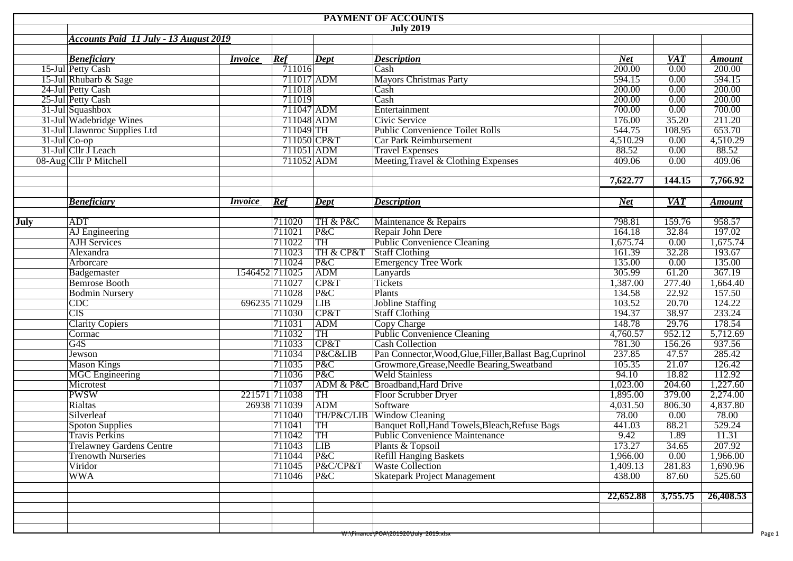|      | PAYMENT OF ACCOUNTS                                |                |                      |             |                                                          |                      |                                 |                         |  |  |  |  |  |  |
|------|----------------------------------------------------|----------------|----------------------|-------------|----------------------------------------------------------|----------------------|---------------------------------|-------------------------|--|--|--|--|--|--|
|      | <b>July 2019</b>                                   |                |                      |             |                                                          |                      |                                 |                         |  |  |  |  |  |  |
|      | <b>Accounts Paid 11 July - 13 August 2019</b>      |                |                      |             |                                                          |                      |                                 |                         |  |  |  |  |  |  |
|      |                                                    |                |                      |             |                                                          |                      |                                 |                         |  |  |  |  |  |  |
|      | <b>Beneficiary</b><br>15-Jul Petty Cash            | <i>Invoice</i> | Ref<br>711016        | Dept        | <b>Description</b>                                       | <b>Net</b><br>200.00 | <b>VAT</b><br>$\overline{0.00}$ | <b>Amount</b><br>200.00 |  |  |  |  |  |  |
|      |                                                    |                |                      |             | Cash<br><b>Mayors Christmas Party</b>                    | 594.15               | 0.00                            | 594.15                  |  |  |  |  |  |  |
|      | 15-Jul Rhubarb & Sage                              |                | 711017 ADM<br>711018 |             |                                                          | 200.00               | 0.00                            | 200.00                  |  |  |  |  |  |  |
|      | 24-Jul Petty Cash                                  |                | 711019               |             | Cash<br>Cash                                             | 200.00               | 0.00                            | 200.00                  |  |  |  |  |  |  |
|      | 25-Jul Petty Cash                                  |                |                      |             |                                                          |                      | 0.00                            | 700.00                  |  |  |  |  |  |  |
|      | 31-Jul Squashbox                                   |                | 711047 ADM           |             | Entertainment                                            | 700.00               |                                 |                         |  |  |  |  |  |  |
|      | 31-Jul Wadebridge Wines                            |                | 711048 ADM           |             | Civic Service                                            | 176.00               | 35.20                           | 211.20                  |  |  |  |  |  |  |
|      | 31-Jul Llawnroc Supplies Ltd                       |                | $711049$ TH          |             | <b>Public Convenience Toilet Rolls</b>                   | 544.75               | 108.95                          | 653.70                  |  |  |  |  |  |  |
|      | 31-Jul Co-op<br>31-Jul Cllr J Leach                |                | 711050 CP&T          |             | Car Park Reimbursement                                   | 4,510.29             | 0.00                            | 4,510.29                |  |  |  |  |  |  |
|      |                                                    |                | 711051 ADM           |             | <b>Travel Expenses</b>                                   | 88.52                | 0.00                            | 88.52                   |  |  |  |  |  |  |
|      | 08-Aug Cllr P Mitchell                             |                | 711052 ADM           |             | Meeting, Travel & Clothing Expenses                      | 409.06               | 0.00                            | 409.06                  |  |  |  |  |  |  |
|      |                                                    |                |                      |             |                                                          | 7,622.77             | 144.15                          | 7,766.92                |  |  |  |  |  |  |
|      | <b>Beneficiary</b>                                 | <i>Invoice</i> | Ref                  | <b>Dept</b> | <b>Description</b>                                       | <b>Net</b>           | <b>VAT</b>                      | <b>Amount</b>           |  |  |  |  |  |  |
| July | <b>ADT</b>                                         |                | 711020               | TH & P&C    | Maintenance & Repairs                                    | 798.81               | 159.76                          | 958.57                  |  |  |  |  |  |  |
|      | AJ Engineering                                     |                | 711021               | P&C         | Repair John Dere                                         | 164.18               | 32.84                           | 197.02                  |  |  |  |  |  |  |
|      | <b>AJH</b> Services                                |                | 711022               | TH          | Public Convenience Cleaning                              | 1,675.74             | 0.00                            | 1,675.74                |  |  |  |  |  |  |
|      | Alexandra                                          |                | 711023               | TH & CP&T   | Staff Clothing                                           | 161.39               | 32.28                           | 193.67                  |  |  |  |  |  |  |
|      | Arborcare                                          |                | 711024               | P&C         | <b>Emergency Tree Work</b>                               | 135.00               | 0.00                            | 135.00                  |  |  |  |  |  |  |
|      | Badgemaster                                        | 1546452 711025 |                      | ADM         | Lanyards                                                 | 305.99               | 61.20                           | 367.19                  |  |  |  |  |  |  |
|      | <b>Bemrose Booth</b>                               |                | 711027               | CP&T        | Tickets                                                  | 1,387.00             | 277.40                          | 1,664.40                |  |  |  |  |  |  |
|      |                                                    |                | 711028               | P&C         | Plants                                                   | 134.58               | 22.92                           | 157.50                  |  |  |  |  |  |  |
|      | <b>Bodmin Nursery</b>                              |                | 696235 711029        | LIB         | <b>Jobline Staffing</b>                                  | 103.52               | 20.70                           | 124.22                  |  |  |  |  |  |  |
|      | $\overline{\text{CDC}}$<br>$\overline{\text{CIS}}$ |                |                      |             |                                                          | 194.37               | 38.97                           | 233.24                  |  |  |  |  |  |  |
|      |                                                    |                | 711030               | CP&T        | <b>Staff Clothing</b>                                    |                      | 29.76                           | 178.54                  |  |  |  |  |  |  |
|      | <b>Clarity Copiers</b>                             |                | 711031               | ADM         | Copy Charge                                              | 148.78               |                                 |                         |  |  |  |  |  |  |
|      | Cormac                                             |                | 711032               | TH          | Public Convenience Cleaning                              | 4,760.57             | 952.12                          | 5,712.69                |  |  |  |  |  |  |
|      | G4S                                                |                | 711033               | CP&T        | <b>Cash Collection</b>                                   | 781.30               | 156.26                          | 937.56                  |  |  |  |  |  |  |
|      | Jewson                                             |                | 711034               | P&C&LIB     | Pan Connector, Wood, Glue, Filler, Ballast Bag, Cuprinol | 237.85               | 47.57                           | 285.42                  |  |  |  |  |  |  |
|      | <b>Mason Kings</b>                                 |                | 711035               | P&C         | Growmore, Grease, Needle Bearing, Sweatband              | 105.35               | 21.07                           | 126.42                  |  |  |  |  |  |  |
|      | <b>MGC</b> Engineering                             |                | 711036               | P&C         | <b>Weld Stainless</b>                                    | 94.10                | 18.82                           | 112.92                  |  |  |  |  |  |  |
|      | Microtest                                          |                | 711037               |             | ADM & P&C Broadband, Hard Drive                          | 1,023.00             | 204.60                          | 1,227.60                |  |  |  |  |  |  |
|      | <b>PWSW</b>                                        |                | 221571 711038        | TH          | <b>Floor Scrubber Dryer</b>                              | 1,895.00             | 379.00                          | 2,274.00                |  |  |  |  |  |  |
|      | Rialtas                                            |                | 26938 711039         | ADM         | Software                                                 | 4,031.50             | 806.30                          | 4,837.80                |  |  |  |  |  |  |
|      | Silverleaf                                         |                | 711040               |             | TH/P&C/LIB Window Cleaning                               | 78.00                | 0.00                            | 78.00                   |  |  |  |  |  |  |
|      | <b>Spoton Supplies</b>                             |                | 711041               | TH          | Banquet Roll, Hand Towels, Bleach, Refuse Bags           | 441.03               | 88.21                           | 529.24                  |  |  |  |  |  |  |
|      | <b>Travis Perkins</b>                              |                | 711042               | TH          | <b>Public Convenience Maintenance</b>                    | 9.42                 | 1.89                            | 11.31                   |  |  |  |  |  |  |
|      | <b>Trelawney Gardens Centre</b>                    |                | 711043               | <b>LIB</b>  | Plants & Topsoil                                         | 173.27               | 34.65                           | 207.92                  |  |  |  |  |  |  |
|      | <b>Trenowth Nurseries</b>                          |                | 711044               | P&C         | <b>Refill Hanging Baskets</b>                            | 1,966.00             | 0.00                            | 1,966.00                |  |  |  |  |  |  |
|      | Viridor                                            |                | 711045               | P&C/CP&T    | <b>Waste Collection</b>                                  | 1,409.13             | 281.83                          | 1,690.96                |  |  |  |  |  |  |
|      | <b>WWA</b>                                         |                | 711046               | P&C         | <b>Skatepark Project Management</b>                      | 438.00               | 87.60                           | 525.60                  |  |  |  |  |  |  |
|      |                                                    |                |                      |             |                                                          | 22,652.88            | 3,755.75                        | 26,408.53               |  |  |  |  |  |  |
|      |                                                    |                |                      |             |                                                          |                      |                                 |                         |  |  |  |  |  |  |
|      |                                                    |                |                      |             | <del>W:\Finance\POA\201920\July 2019.xisx</del>          |                      |                                 |                         |  |  |  |  |  |  |